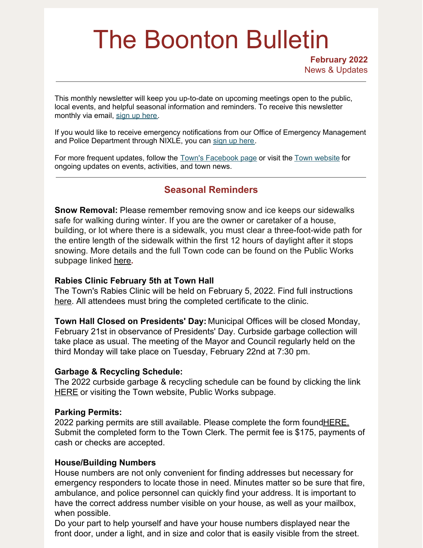# The Boonton Bulletin

**February 2022** News & Updates

This monthly newsletter will keep you up-to-date on upcoming meetings open to the public, local events, and helpful seasonal information and reminders. To receive this newsletter monthly via email, sign up [here](https://visitor.r20.constantcontact.com/manage/optin?v=001R7EztVuwXkBBcWw5z4rx7Y8pHezaxmabvd0VHnnNyXuOx-FRreROjfknpcDg1PuN9FMd8t37h3fvydqMBUcqgRjQOA-D5T3_mJQaSU63Gou4fTZoQ2qAjeQl0FAI6TpAyIsntzMunLGdLYSb5kiYp0xNe5ju7v1p).

If you would like to receive emergency notifications from our Office of Emergency Management and Police Department through NIXLE, you can sign up [here](https://www.boonton.org/347/Sign-up-for-Notifications).

For more frequent updates, follow the Town's [Facebook](https://www.facebook.com/BoontonNJ) page or visit the Town [website](https://www.boonton.org/) for ongoing updates on events, activities, and town news.

# **Seasonal Reminders**

**Snow Removal:** Please remember removing snow and ice keeps our sidewalks safe for walking during winter. If you are the owner or caretaker of a house, building, or lot where there is a sidewalk, you must clear a three-foot-wide path for the entire length of the sidewalk within the first 12 hours of daylight after it stops snowing. More details and the full Town code can be found on the Public Works subpage linked [here](https://www.boonton.org/177/Snow-Removal#:~:text=Snow %26 Ice Removal %2D (Full rules visit%3A Article VI)&text=It is illegal to displace,or another)**.**

#### **Rabies Clinic February 5th at Town Hall**

The Town's Rabies Clinic will be held on February 5, 2022. Find full instructions [here](https://www.boonton.org/DocumentCenter/View/3922/Instructions-for-Attending-the-Town-of-Boonton-Rabies-Clinic). All attendees must bring the completed certificate to the clinic.

**Town Hall Closed on Presidents' Day:** Municipal Offices will be closed Monday, February 21st in observance of Presidents' Day. Curbside garbage collection will take place as usual. The meeting of the Mayor and Council regularly held on the third Monday will take place on Tuesday, February 22nd at 7:30 pm.

#### **Garbage & Recycling Schedule:**

The 2022 curbside garbage & recycling schedule can be found by clicking the link [HERE](https://www.boonton.org/148/Public-Works) or visiting the Town website, Public Works subpage.

#### **Parking Permits:**

2022 parking permits are still available. Please complete the form found HERE. Submit the completed form to the Town Clerk. The permit fee is \$175, payments of cash or checks are accepted.

#### **House/Building Numbers**

House numbers are not only convenient for finding addresses but necessary for emergency responders to locate those in need. Minutes matter so be sure that fire, ambulance, and police personnel can quickly find your address. It is important to have the correct address number visible on your house, as well as your mailbox, when possible.

Do your part to help yourself and have your house numbers displayed near the front door, under a light, and in size and color that is easily visible from the street.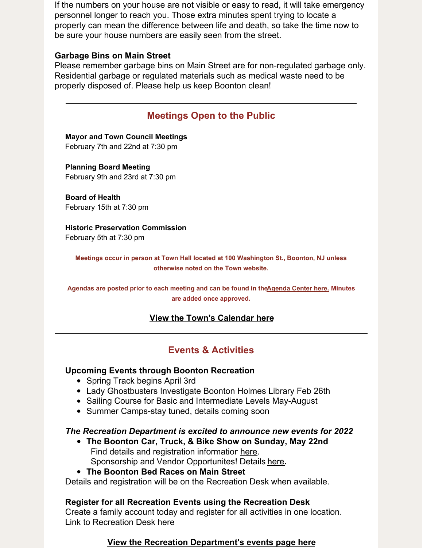If the numbers on your house are not visible or easy to read, it will take emergency personnel longer to reach you. Those extra minutes spent trying to locate a property can mean the difference between life and death, so take the time now to be sure your house numbers are easily seen from the street.

## **Garbage Bins on Main Street**

Please remember garbage bins on Main Street are for non-regulated garbage only. Residential garbage or regulated materials such as medical waste need to be properly disposed of. Please help us keep Boonton clean!

# **Meetings Open to the Public**

**Mayor and Town Council Meetings** February 7th and 22nd at 7:30 pm

**Planning Board Meeting** February 9th and 23rd at 7:30 pm

**Board of Health** February 15th at 7:30 pm

**Historic Preservation Commission** February 5th at 7:30 pm

**Meetings occur in person at Town Hall located at 100 Washington St., Boonton, NJ unless otherwise noted on the Town website.**

**Agendas are posted prior to each meeting and can be found in th[eAgenda](https://www.boonton.org/AgendaCenter) Center here. Minutes are added once approved.**

## **View the Town's [Calendar](https://www.boonton.org/calendar.aspx) here**

# **Events & Activities**

## **Upcoming Events through Boonton Recreation**

- Spring Track begins April 3rd
- Lady Ghostbusters Investigate Boonton Holmes Library Feb 26th
- Sailing Course for Basic and Intermediate Levels May-August
- Summer Camps-stay tuned, details coming soon

#### *The Recreation Department is excited to announce new events for 2022*

- **The Boonton Car, Truck, & Bike Show on Sunday, May 22nd** Find details and registration information [here](https://www.boonton.org/DocumentCenter/View/3917/Boonton-Car-Show). Sponsorship and Vendor Opportunites! Details [here](https://www.boonton.org/446/Special-Events)**.**
- **The Boonton Bed Races on Main Street**

Details and registration will be on the Recreation Desk when available.

## **Register for all Recreation Events using the Recreation Desk**

Create a family account today and register for all activities in one location. Link to Recreation Desk [here](https://boonton.recdesk.com/Community/Home)

#### **View the Recreation [Department's](https://www.boonton.org/446/Special-Events) events page here**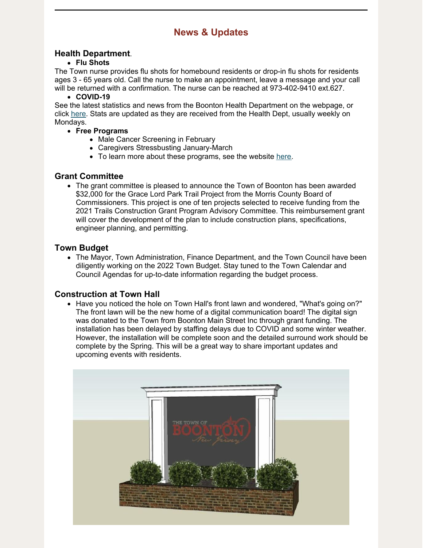# **News & Updates**

#### **Health Department**.

#### **Flu Shots**

The Town nurse provides flu shots for homebound residents or drop-in flu shots for residents ages 3 - 65 years old. Call the nurse to make an appointment, leave a message and your call will be returned with a confirmation. The nurse can be reached at 973-402-9410 ext.627.

#### **COVID-19**

See the latest statistics and news from the Boonton Health Department on the webpage, or click [here](https://www.boonton.org/635/Coronavirus-COVID-19). Stats are updated as they are received from the Health Dept, usually weekly on Mondays.

- **Free Programs**
	- Male Cancer Screening in February
	- Caregivers Stressbusting January-March
	- To learn more about these programs, see the website [here](https://www.boonton.org/168/Programs-Services).

## **Grant Committee**

• The grant committee is pleased to announce the Town of Boonton has been awarded \$32,000 for the Grace Lord Park Trail Project from the Morris County Board of Commissioners. This project is one of ten projects selected to receive funding from the 2021 Trails Construction Grant Program Advisory Committee. This reimbursement grant will cover the development of the plan to include construction plans, specifications, engineer planning, and permitting.

#### **Town Budget**

• The Mayor, Town Administration, Finance Department, and the Town Council have been diligently working on the 2022 Town Budget. Stay tuned to the Town Calendar and Council Agendas for up-to-date information regarding the budget process.

#### **Construction at Town Hall**

• Have you noticed the hole on Town Hall's front lawn and wondered, "What's going on?" The front lawn will be the new home of a digital communication board! The digital sign was donated to the Town from Boonton Main Street Inc through grant funding. The installation has been delayed by staffing delays due to COVID and some winter weather. However, the installation will be complete soon and the detailed surround work should be complete by the Spring. This will be a great way to share important updates and upcoming events with residents.